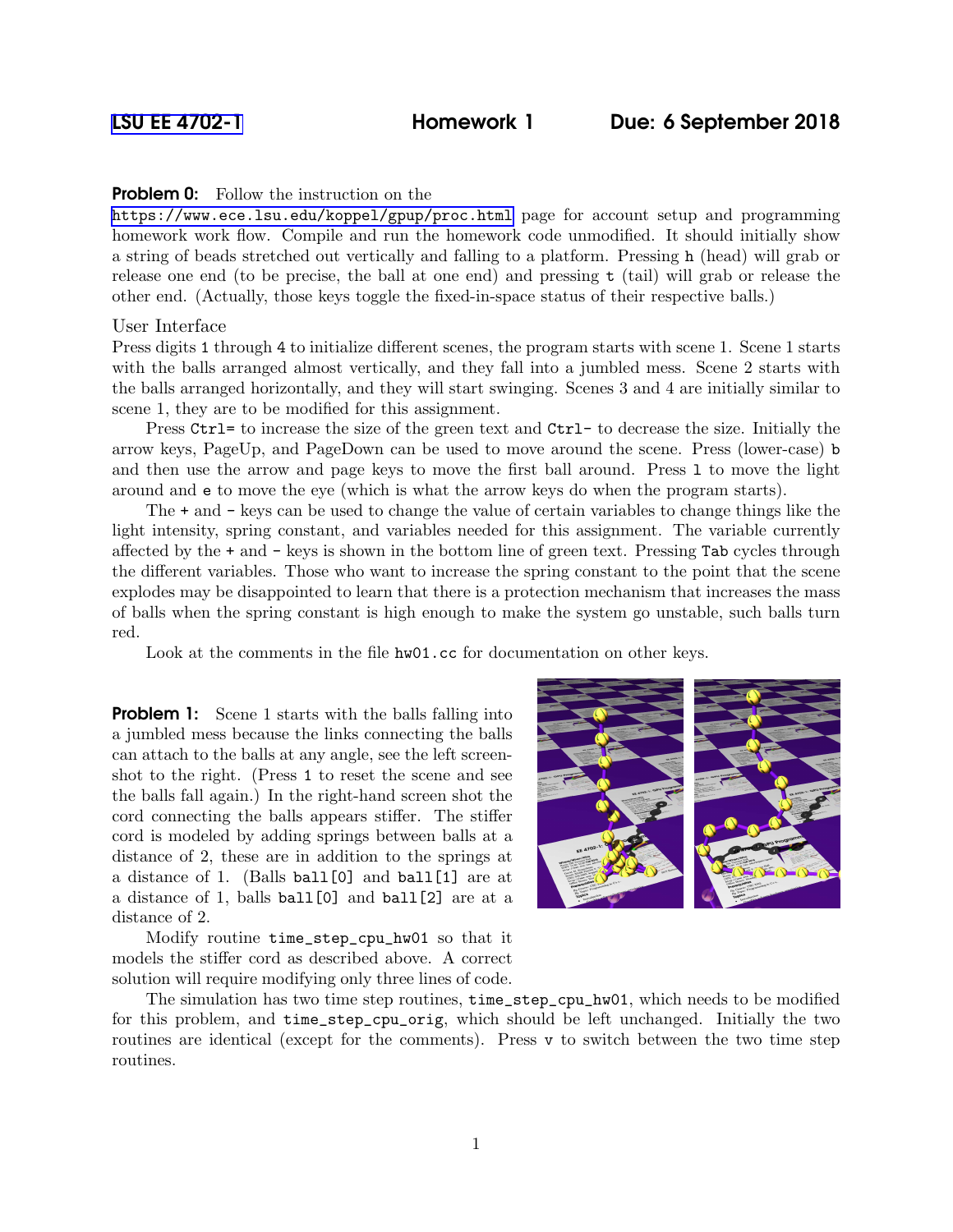## **Problem 0:** Follow the instruction on the

<https://www.ece.lsu.edu/koppel/gpup/proc.html> page for account setup and programming homework work flow. Compile and run the homework code unmodified. It should initially show a string of beads stretched out vertically and falling to a platform. Pressing h (head) will grab or release one end (to be precise, the ball at one end) and pressing t (tail) will grab or release the other end. (Actually, those keys toggle the fixed-in-space status of their respective balls.)

## User Interface

Press digits 1 through 4 to initialize different scenes, the program starts with scene 1. Scene 1 starts with the balls arranged almost vertically, and they fall into a jumbled mess. Scene 2 starts with the balls arranged horizontally, and they will start swinging. Scenes 3 and 4 are initially similar to scene 1, they are to be modified for this assignment.

Press Ctrl= to increase the size of the green text and Ctrl- to decrease the size. Initially the arrow keys, PageUp, and PageDown can be used to move around the scene. Press (lower-case) b and then use the arrow and page keys to move the first ball around. Press l to move the light around and e to move the eye (which is what the arrow keys do when the program starts).

The + and - keys can be used to change the value of certain variables to change things like the light intensity, spring constant, and variables needed for this assignment. The variable currently affected by the + and - keys is shown in the bottom line of green text. Pressing Tab cycles through the different variables. Those who want to increase the spring constant to the point that the scene explodes may be disappointed to learn that there is a protection mechanism that increases the mass of balls when the spring constant is high enough to make the system go unstable, such balls turn red.

Look at the comments in the file  $hw01$ .cc for documentation on other keys.

**Problem 1:** Scene 1 starts with the balls falling into a jumbled mess because the links connecting the balls can attach to the balls at any angle, see the left screenshot to the right. (Press 1 to reset the scene and see the balls fall again.) In the right-hand screen shot the cord connecting the balls appears stiffer. The stiffer cord is modeled by adding springs between balls at a distance of 2, these are in addition to the springs at a distance of 1. (Balls ball[0] and ball[1] are at a distance of 1, balls ball[0] and ball[2] are at a distance of 2.

Modify routine time\_step\_cpu\_hw01 so that it models the stiffer cord as described above. A correct solution will require modifying only three lines of code.



The simulation has two time step routines, time\_step\_cpu\_hw01, which needs to be modified for this problem, and time\_step\_cpu\_orig, which should be left unchanged. Initially the two routines are identical (except for the comments). Press v to switch between the two time step routines.